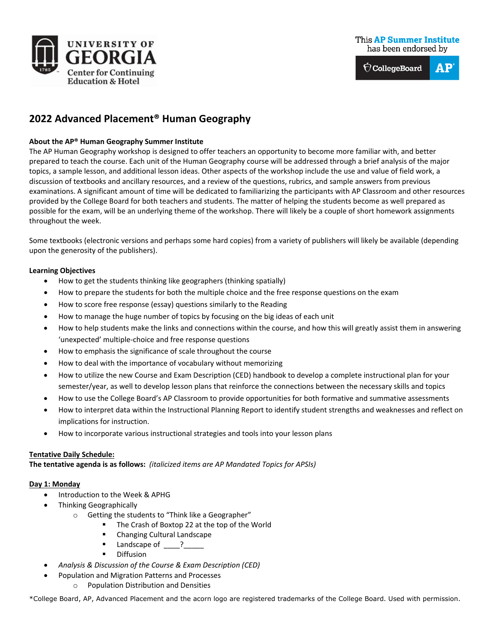

#### **This AP Summer Institute** has been endorsed by



# **2022 Advanced Placement® Human Geography**

## **About the AP® Human Geography Summer Institute**

The AP Human Geography workshop is designed to offer teachers an opportunity to become more familiar with, and better prepared to teach the course. Each unit of the Human Geography course will be addressed through a brief analysis of the major topics, a sample lesson, and additional lesson ideas. Other aspects of the workshop include the use and value of field work, a discussion of textbooks and ancillary resources, and a review of the questions, rubrics, and sample answers from previous examinations. A significant amount of time will be dedicated to familiarizing the participants with AP Classroom and other resources provided by the College Board for both teachers and students. The matter of helping the students become as well prepared as possible for the exam, will be an underlying theme of the workshop. There will likely be a couple of short homework assignments throughout the week.

Some textbooks (electronic versions and perhaps some hard copies) from a variety of publishers will likely be available (depending upon the generosity of the publishers).

#### **Learning Objectives**

- How to get the students thinking like geographers (thinking spatially)
- How to prepare the students for both the multiple choice and the free response questions on the exam
- How to score free response (essay) questions similarly to the Reading
- How to manage the huge number of topics by focusing on the big ideas of each unit
- How to help students make the links and connections within the course, and how this will greatly assist them in answering 'unexpected' multiple-choice and free response questions
- How to emphasis the significance of scale throughout the course
- How to deal with the importance of vocabulary without memorizing
- How to utilize the new Course and Exam Description (CED) handbook to develop a complete instructional plan for your semester/year, as well to develop lesson plans that reinforce the connections between the necessary skills and topics
- How to use the College Board's AP Classroom to provide opportunities for both formative and summative assessments
- How to interpret data within the Instructional Planning Report to identify student strengths and weaknesses and reflect on implications for instruction.
- How to incorporate various instructional strategies and tools into your lesson plans

#### **Tentative Daily Schedule:**

**The tentative agenda is as follows:** *(italicized items are AP Mandated Topics for APSIs)*

#### **Day 1: Monday**

- Introduction to the Week & APHG
	- Thinking Geographically
		- o Getting the students to "Think like a Geographer"
			- The Crash of Boxtop 22 at the top of the World
			- **EXEC** Changing Cultural Landscape
			- $\blacksquare$  Landscape of  $\blacksquare$ ?
			- **Diffusion**
- *Analysis & Discussion of the Course & Exam Description (CED)*
	- Population and Migration Patterns and Processes
		- o Population Distribution and Densities

\*College Board, AP, Advanced Placement and the acorn logo are registered trademarks of the College Board. Used with permission.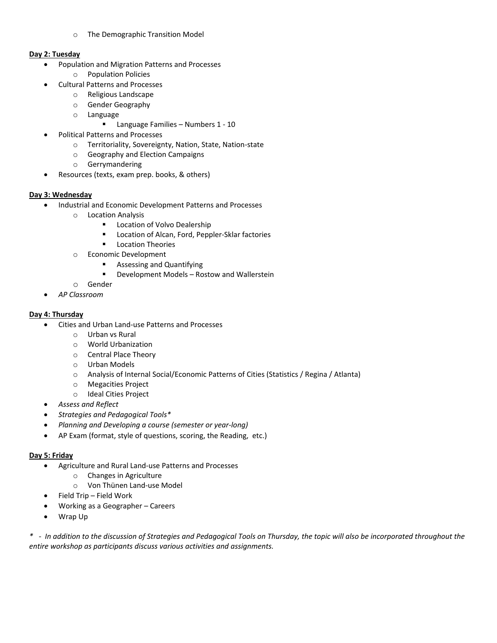o The Demographic Transition Model

#### **Day 2: Tuesday**

- Population and Migration Patterns and Processes
	- o Population Policies
- Cultural Patterns and Processes
	- o Religious Landscape
	- o Gender Geography
	- o Language
		- **Language Families Numbers 1 10**
- Political Patterns and Processes
	- o Territoriality, Sovereignty, Nation, State, Nation-state
	- o Geography and Election Campaigns
	- o Gerrymandering
- Resources (texts, exam prep. books, & others)

## **Day 3: Wednesday**

- Industrial and Economic Development Patterns and Processes
	- o Location Analysis
		- **Location of Volvo Dealership**
		- **EXEC** Location of Alcan, Ford, Peppler-Sklar factories
		- **Location Theories**
	- o Economic Development
		- **Basessing and Quantifying**
		- **•** Development Models Rostow and Wallerstein
	- o Gender
- *AP Classroom*

## **Day 4: Thursday**

- Cities and Urban Land-use Patterns and Processes
	- o Urban vs Rural
	- o World Urbanization
	- o Central Place Theory
	- o Urban Models
	- o Analysis of Internal Social/Economic Patterns of Cities (Statistics / Regina / Atlanta)
	- o Megacities Project
	- o Ideal Cities Project
- *Assess and Reflect*
- *Strategies and Pedagogical Tools\**
- *Planning and Developing a course (semester or year-long)*
- AP Exam (format, style of questions, scoring, the Reading, etc.)

#### **Day 5: Friday**

- Agriculture and Rural Land-use Patterns and Processes
	- o Changes in Agriculture
	- o Von Thünen Land-use Model
- Field Trip Field Work
- Working as a Geographer Careers
- Wrap Up

*\* - In addition to the discussion of Strategies and Pedagogical Tools on Thursday, the topic will also be incorporated throughout the entire workshop as participants discuss various activities and assignments.*